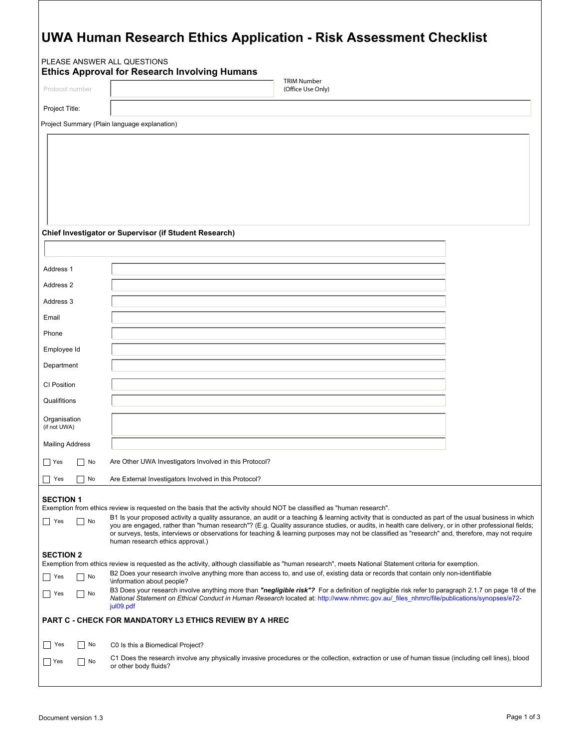## **UWA Human Research Ethics Application - Risk Assessment Checklist**

## PLEASE ANSWER ALL QUESTIONS **Ethics Approval for Research Involving Humans**

|                              | <b>Ethics Approval for Research Involving Humans</b>                                                                                                                                                                                                                                                                                                                                                                                                                                                    |
|------------------------------|---------------------------------------------------------------------------------------------------------------------------------------------------------------------------------------------------------------------------------------------------------------------------------------------------------------------------------------------------------------------------------------------------------------------------------------------------------------------------------------------------------|
| Protocol number              | TRIM Number<br>(Office Use Only)                                                                                                                                                                                                                                                                                                                                                                                                                                                                        |
| Project Title:               |                                                                                                                                                                                                                                                                                                                                                                                                                                                                                                         |
|                              | Project Summary (Plain language explanation)                                                                                                                                                                                                                                                                                                                                                                                                                                                            |
|                              |                                                                                                                                                                                                                                                                                                                                                                                                                                                                                                         |
|                              | Chief Investigator or Supervisor (if Student Research)                                                                                                                                                                                                                                                                                                                                                                                                                                                  |
|                              |                                                                                                                                                                                                                                                                                                                                                                                                                                                                                                         |
| Address 1                    |                                                                                                                                                                                                                                                                                                                                                                                                                                                                                                         |
| Address 2                    |                                                                                                                                                                                                                                                                                                                                                                                                                                                                                                         |
| Address 3                    |                                                                                                                                                                                                                                                                                                                                                                                                                                                                                                         |
| Email                        |                                                                                                                                                                                                                                                                                                                                                                                                                                                                                                         |
| Phone                        |                                                                                                                                                                                                                                                                                                                                                                                                                                                                                                         |
| Employee Id                  |                                                                                                                                                                                                                                                                                                                                                                                                                                                                                                         |
| Department                   |                                                                                                                                                                                                                                                                                                                                                                                                                                                                                                         |
| CI Position                  |                                                                                                                                                                                                                                                                                                                                                                                                                                                                                                         |
| Qualifitions                 |                                                                                                                                                                                                                                                                                                                                                                                                                                                                                                         |
| Organisation<br>(if not UWA) |                                                                                                                                                                                                                                                                                                                                                                                                                                                                                                         |
| <b>Mailing Address</b>       |                                                                                                                                                                                                                                                                                                                                                                                                                                                                                                         |
| Yes<br>  No                  | Are Other UWA Investigators Involved in this Protocol?                                                                                                                                                                                                                                                                                                                                                                                                                                                  |
| Yes<br>No<br>$\blacksquare$  | Are External Investigators Involved in this Protocol?                                                                                                                                                                                                                                                                                                                                                                                                                                                   |
| <b>SECTION 1</b>             | Exemption from ethics review is requested on the basis that the activity should NOT be classified as "human research".                                                                                                                                                                                                                                                                                                                                                                                  |
| $\Box$ Yes<br>  No           | B1 Is your proposed activity a quality assurance, an audit or a teaching & learning activity that is conducted as part of the usual business in which<br>you are engaged, rather than "human research"? (E.g. Quality assurance studies, or audits, in health care delivery, or in other professional fields;<br>or surveys, tests, interviews or observations for teaching & learning purposes may not be classified as "research" and, therefore, may not require<br>human research ethics approval.) |
| <b>SECTION 2</b>             | Exemption from ethics review is requested as the activity, although classifiable as "human research", meets National Statement criteria for exemption.                                                                                                                                                                                                                                                                                                                                                  |
| $\Box$ Yes<br>    No         | B2 Does your research involve anything more than access to, and use of, existing data or records that contain only non-identifiable                                                                                                                                                                                                                                                                                                                                                                     |
| $\vert$ No<br>$\Box$ Yes     | \information about people?<br>B3 Does your research involve anything more than "negligible risk"? For a definition of negligible risk refer to paragraph 2.1.7 on page 18 of the<br>National Statement on Ethical Conduct in Human Research located at: http://www.nhmrc.gov.au/_files_nhmrc/file/publications/synopses/e72-<br>jul09.pdf                                                                                                                                                               |
|                              | <b>PART C - CHECK FOR MANDATORY L3 ETHICS REVIEW BY A HREC</b>                                                                                                                                                                                                                                                                                                                                                                                                                                          |
|                              |                                                                                                                                                                                                                                                                                                                                                                                                                                                                                                         |
| No<br>  Yes                  | C0 Is this a Biomedical Project?<br>C1 Does the research involve any physically invasive procedures or the collection, extraction or use of human tissue (including cell lines), blood                                                                                                                                                                                                                                                                                                                  |
| $\Box$ Yes<br>    No         | or other body fluids?                                                                                                                                                                                                                                                                                                                                                                                                                                                                                   |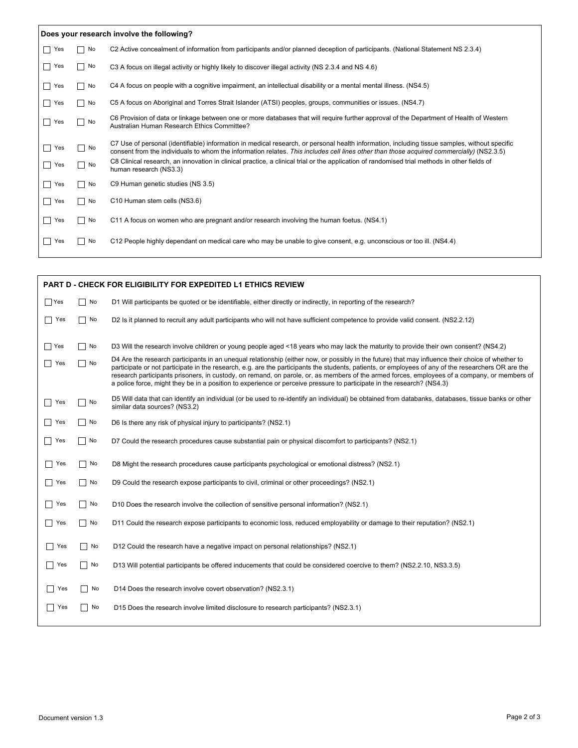|                                 |              | Does your research involve the following?                                                                                                                                                                                                                                                 |  |  |  |
|---------------------------------|--------------|-------------------------------------------------------------------------------------------------------------------------------------------------------------------------------------------------------------------------------------------------------------------------------------------|--|--|--|
| Yes<br>$\blacksquare$           | No           | C2 Active concealment of information from participants and/or planned deception of participants. (National Statement NS 2.3.4)                                                                                                                                                            |  |  |  |
| Yes<br>$\perp$                  | No<br>$\sim$ | C3 A focus on illegal activity or highly likely to discover illegal activity (NS 2.3.4 and NS 4.6)                                                                                                                                                                                        |  |  |  |
| Yes<br>$\blacksquare$           | No           | C4 A focus on people with a cognitive impairment, an intellectual disability or a mental mental illness. (NS4.5)                                                                                                                                                                          |  |  |  |
| Yes<br>$\Box$                   | No<br>×.     | C5 A focus on Aboriginal and Torres Strait Islander (ATSI) peoples, groups, communities or issues. (NS4.7)                                                                                                                                                                                |  |  |  |
| П<br>Yes                        | No<br>$\sim$ | C6 Provision of data or linkage between one or more databases that will require further approval of the Department of Health of Western<br>Australian Human Research Ethics Committee?                                                                                                    |  |  |  |
| Yes                             | No<br>$\sim$ | C7 Use of personal (identifiable) information in medical research, or personal health information, including tissue samples, without specific<br>consent from the individuals to whom the information relates. This includes cell lines other than those acquired commercially) (NS2.3.5) |  |  |  |
| Yes<br>$\mathcal{L}$            | No<br>$\sim$ | C8 Clinical research, an innovation in clinical practice, a clinical trial or the application of randomised trial methods in other fields of<br>human research (NS3.3)                                                                                                                    |  |  |  |
| $\blacksquare$<br>Yes           | No<br>$\sim$ | C9 Human genetic studies (NS 3.5)                                                                                                                                                                                                                                                         |  |  |  |
| $\overline{\phantom{a}}$<br>Yes | No<br>×.     | C10 Human stem cells (NS3.6)                                                                                                                                                                                                                                                              |  |  |  |
| Yes<br>$\blacksquare$           | No<br>$\sim$ | C11 A focus on women who are pregnant and/or research involving the human foetus. (NS4.1)                                                                                                                                                                                                 |  |  |  |
| Yes<br>$\Box$                   | No           | C12 People highly dependant on medical care who may be unable to give consent, e.g. unconscious or too ill. (NS4.4)                                                                                                                                                                       |  |  |  |
|                                 |              |                                                                                                                                                                                                                                                                                           |  |  |  |

|                                 |           | <b>PART D - CHECK FOR ELIGIBILITY FOR EXPEDITED L1 ETHICS REVIEW</b>                                                                                                                                                                                                                                                                                                                                                                                                                                                                                                               |
|---------------------------------|-----------|------------------------------------------------------------------------------------------------------------------------------------------------------------------------------------------------------------------------------------------------------------------------------------------------------------------------------------------------------------------------------------------------------------------------------------------------------------------------------------------------------------------------------------------------------------------------------------|
| $\Box$ Yes                      | $\Box$ No | D1 Will participants be quoted or be identifiable, either directly or indirectly, in reporting of the research?                                                                                                                                                                                                                                                                                                                                                                                                                                                                    |
| $  \rceil$ Yes                  | No        | D2 Is it planned to recruit any adult participants who will not have sufficient competence to provide valid consent. (NS2.2.12)                                                                                                                                                                                                                                                                                                                                                                                                                                                    |
| $\Box$ Yes                      | $\Box$ No | D3 Will the research involve children or young people aged <18 years who may lack the maturity to provide their own consent? (NS4.2)                                                                                                                                                                                                                                                                                                                                                                                                                                               |
| $\Box$ Yes                      | $\Box$ No | D4 Are the research participants in an unequal relationship (either now, or possibly in the future) that may influence their choice of whether to<br>participate or not participate in the research, e.g. are the participants the students, patients, or employees of any of the researchers OR are the<br>research participants prisoners, in custody, on remand, on parole, or, as members of the armed forces, employees of a company, or members of<br>a police force, might they be in a position to experience or perceive pressure to participate in the research? (NS4.3) |
| $\Box$ Yes                      | $\Box$ No | D5 Will data that can identify an individual (or be used to re-identify an individual) be obtained from databanks, databases, tissue banks or other<br>similar data sources? (NS3.2)                                                                                                                                                                                                                                                                                                                                                                                               |
| $\Box$ Yes                      | $\Box$ No | D6 Is there any risk of physical injury to participants? (NS2.1)                                                                                                                                                                                                                                                                                                                                                                                                                                                                                                                   |
| Yes<br>$\vert \ \ \vert$        | $\Box$ No | D7 Could the research procedures cause substantial pain or physical discomfort to participants? (NS2.1)                                                                                                                                                                                                                                                                                                                                                                                                                                                                            |
| Yes<br>$\blacksquare$           | No        | D8 Might the research procedures cause participants psychological or emotional distress? (NS2.1)                                                                                                                                                                                                                                                                                                                                                                                                                                                                                   |
| Yes<br>$\blacksquare$           | $\Box$ No | D9 Could the research expose participants to civil, criminal or other proceedings? (NS2.1)                                                                                                                                                                                                                                                                                                                                                                                                                                                                                         |
| Yes<br>$\mathbf{L}$             | $\Box$ No | D10 Does the research involve the collection of sensitive personal information? (NS2.1)                                                                                                                                                                                                                                                                                                                                                                                                                                                                                            |
| Yes<br>$\overline{\phantom{0}}$ | $\Box$ No | D11 Could the research expose participants to economic loss, reduced employability or damage to their reputation? (NS2.1)                                                                                                                                                                                                                                                                                                                                                                                                                                                          |
| Yes                             | $\Box$ No | D12 Could the research have a negative impact on personal relationships? (NS2.1)                                                                                                                                                                                                                                                                                                                                                                                                                                                                                                   |
| Yes                             | $\Box$ No | D13 Will potential participants be offered inducements that could be considered coercive to them? (NS2.2.10, NS3.3.5)                                                                                                                                                                                                                                                                                                                                                                                                                                                              |
| Yes<br>$\blacksquare$           | $\Box$ No | D14 Does the research involve covert observation? (NS2.3.1)                                                                                                                                                                                                                                                                                                                                                                                                                                                                                                                        |
| Yes                             | $\Box$ No | D15 Does the research involve limited disclosure to research participants? (NS2.3.1)                                                                                                                                                                                                                                                                                                                                                                                                                                                                                               |